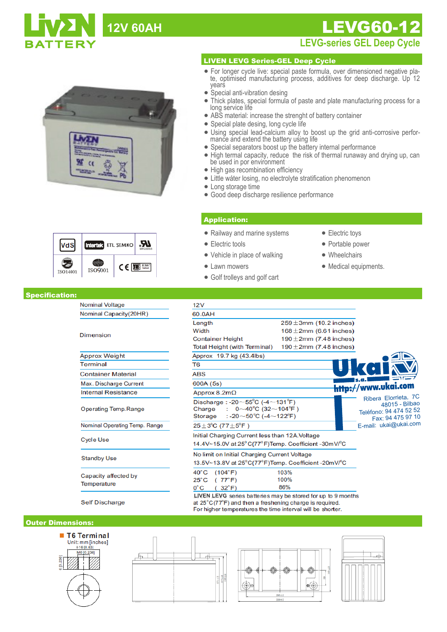# 12V 60AH **LEVG60-12**





### Specification:

**Nominal Voltage** Nominal Capacity(20HR)

| <b>Dimension</b>                    |
|-------------------------------------|
| <b>Approx Weight</b>                |
| Terminal                            |
| <b>Container Material</b>           |
| Max. Discharge Current              |
| <b>Internal Resistance</b>          |
| Operating Temp.Range                |
| Nominal Operating Temp. Range       |
| <b>Cycle Use</b>                    |
| <b>Standby Use</b>                  |
| Capacity affected by<br>Temperature |

**LEVG-series GEL Deep Cycle** 

## LIVEN LEVG Series-GEL Deep Cycle

- For longer cycle live: special paste formula, over dimensioned negative plate, optimised manufacturing process, additives for deep discharge. Up 12 years
- Special anti-vibration desing
- Thick plates, special formula of paste and plate manufacturing process for a long service life
- ABS material: increase the strenght of battery container
- Special plate desing, long cycle life
- Using special lead-calcium alloy to boost up the grid anti-corrosive performance and extend the battery using life
- Special separators boost up the battery internal performance
- High termal capacity, reduce the risk of thermal runaway and drying up, can be used in por environment
- High gas recombination efficiency
- Little wáter losing, no electrolyte stratification phenomenon
- Long storage time
- Good deep discharge resilience performance

## Application:

- Railway and marine systems
- Electric tools
- Vehicle in place of walking
- Lawn mowers
- Golf trolleys and golf cart
- Electric toys
- Portable power
- Wheelchairs
- Medical equipments.

| 12V                                                                                                                                                            |                              |                                                                                       |
|----------------------------------------------------------------------------------------------------------------------------------------------------------------|------------------------------|---------------------------------------------------------------------------------------|
| 60.0AH                                                                                                                                                         |                              |                                                                                       |
| Length                                                                                                                                                         | $259 \pm 3$ mm (10.2 inches) |                                                                                       |
| Width                                                                                                                                                          | $168 \pm 2$ mm (6.61 inches) |                                                                                       |
| <b>Container Height</b>                                                                                                                                        | 190 $\pm$ 2mm (7.48 inches)  |                                                                                       |
| <b>Total Height (with Terminal)</b>                                                                                                                            | 190 $\pm$ 2mm (7.48 inches)  |                                                                                       |
| Approx 19.7 kg (43.4lbs)                                                                                                                                       |                              |                                                                                       |
| T <sub>6</sub>                                                                                                                                                 |                              |                                                                                       |
| <b>ABS</b>                                                                                                                                                     |                              |                                                                                       |
| 600A (5s)                                                                                                                                                      |                              | http://www.ukai.com                                                                   |
| Approx 8.2m $\Omega$                                                                                                                                           |                              |                                                                                       |
| Discharge: -20 $\sim$ 55°C (-4 $\sim$ 131°F)<br>Charge<br>$0 \sim 40^{\circ}$ C (32 $\sim$ 104 $^{\circ}$ F)<br>: -20 $\sim$ 50°C (-4 $\sim$ 122°F)<br>Storage |                              | Ribera Elorrieta, 7C<br>48015 - Bilbao<br>Teléfono: 94 474 52 52<br>Fax: 94 475 97 10 |
| $25 \pm 3^{\circ}$ C (77 $\pm 5^{\circ}$ F)                                                                                                                    |                              | E-mail: ukai@ukai.com                                                                 |
| Initial Charging Current less than 12A. Voltage<br>14.4V~15.0V at 25°C(77°F)Temp. Coefficient -30mV/°C                                                         |                              |                                                                                       |
| No limit on Initial Charging Current Voltage                                                                                                                   |                              |                                                                                       |
| 13.5V~13.8V at 25°C(77°F)Temp. Coefficient -20mV/°C                                                                                                            |                              |                                                                                       |
| $40^{\circ}$ C<br>(104°F)                                                                                                                                      | 103%                         |                                                                                       |
| $25^{\circ}$ C<br>(77°F)                                                                                                                                       | 100%                         |                                                                                       |
| $0^{\circ}$ C<br>$32^\circ F$                                                                                                                                  | 86%                          |                                                                                       |

**Self Discharge** 

at 25°C(77°F) and then a freshening charge is required. For higher temperatures the time interval will be shorter.